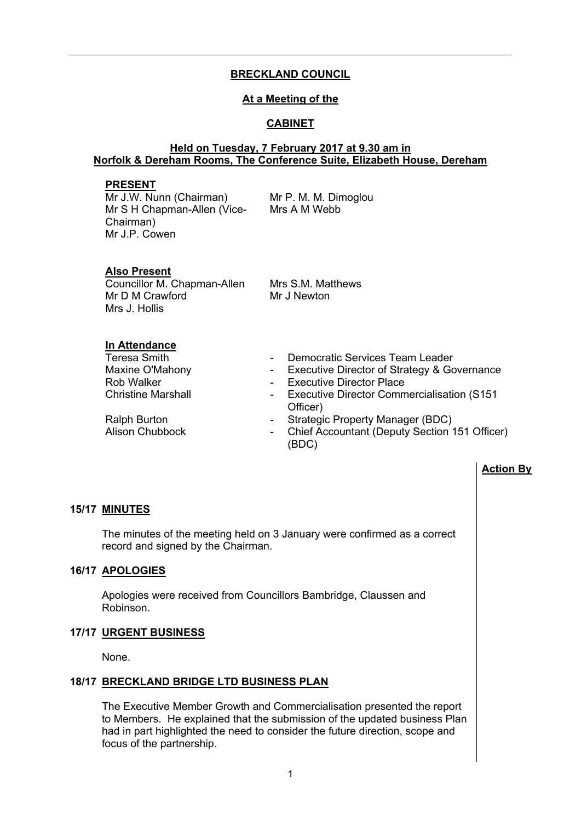# **BRECKLAND COUNCIL**

# **At a Meeting of the**

# **CABINET**

#### **Held on Tuesday, 7 February 2017 at 9.30 am in Norfolk & Dereham Rooms, The Conference Suite, Elizabeth House, Dereham**

#### **PRESENT**

Mr J.W. Nunn (Chairman) Mr S H Chapman-Allen (Vice-Chairman) Mr J.P. Cowen

Mr P. M. M. Dimoglou Mrs A M Webb

# **Also Present**

Councillor M. Chapman-Allen Mr D M Crawford Mrs J. Hollis

Mrs S.M. Matthews Mr J Newton

# **In Attendance**

- Democratic Services Team Leader
- Maxine O'Mahony<br>
Rob Walker<br>
Rob Walker<br>
Fxecutive Director Place<br>
Rob Walker<br>
Allows
Covernance<br>
Rob Walker<br>
Allows
Covernance<br>
Rob Walker
	- **Executive Director Place**
- Christine Marshall **Christine Marshall** Executive Director Commercialisation (S151 Officer)
- Ralph Burton  **Strategic Property Manager (BDC)**
- Alison Chubbock Chief Accountant (Deputy Section 151 Officer) (BDC)

# **Action By**

# **15/17 MINUTES**

The minutes of the meeting held on 3 January were confirmed as a correct record and signed by the Chairman.

# **16/17 APOLOGIES**

Apologies were received from Councillors Bambridge, Claussen and Robinson.

#### **17/17 URGENT BUSINESS**

None.

#### **18/17 BRECKLAND BRIDGE LTD BUSINESS PLAN**

The Executive Member Growth and Commercialisation presented the report to Members. He explained that the submission of the updated business Plan had in part highlighted the need to consider the future direction, scope and focus of the partnership.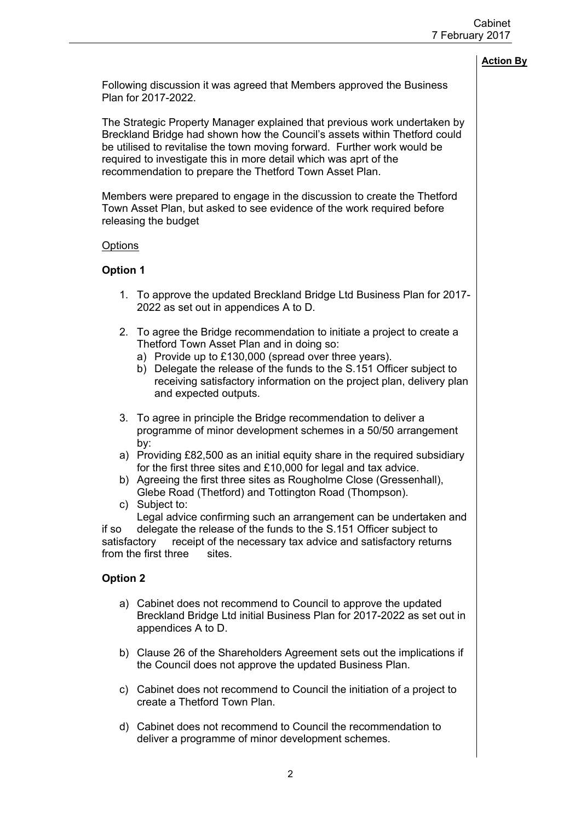Following discussion it was agreed that Members approved the Business Plan for 2017-2022.

The Strategic Property Manager explained that previous work undertaken by Breckland Bridge had shown how the Council's assets within Thetford could be utilised to revitalise the town moving forward. Further work would be required to investigate this in more detail which was aprt of the recommendation to prepare the Thetford Town Asset Plan.

Members were prepared to engage in the discussion to create the Thetford Town Asset Plan, but asked to see evidence of the work required before releasing the budget

### **Options**

# **Option 1**

- 1. To approve the updated Breckland Bridge Ltd Business Plan for 2017- 2022 as set out in appendices A to D.
- 2. To agree the Bridge recommendation to initiate a project to create a Thetford Town Asset Plan and in doing so:
	- a) Provide up to £130,000 (spread over three years).
	- b) Delegate the release of the funds to the S.151 Officer subject to receiving satisfactory information on the project plan, delivery plan and expected outputs.
- 3. To agree in principle the Bridge recommendation to deliver a programme of minor development schemes in a 50/50 arrangement by:
- a) Providing £82,500 as an initial equity share in the required subsidiary for the first three sites and £10,000 for legal and tax advice.
- b) Agreeing the first three sites as Rougholme Close (Gressenhall), Glebe Road (Thetford) and Tottington Road (Thompson).
- c) Subject to:

Legal advice confirming such an arrangement can be undertaken and if so delegate the release of the funds to the S.151 Officer subject to satisfactory receipt of the necessary tax advice and satisfactory returns from the first three sites.

# **Option 2**

- a) Cabinet does not recommend to Council to approve the updated Breckland Bridge Ltd initial Business Plan for 2017-2022 as set out in appendices A to D.
- b) Clause 26 of the Shareholders Agreement sets out the implications if the Council does not approve the updated Business Plan.
- c) Cabinet does not recommend to Council the initiation of a project to create a Thetford Town Plan.
- d) Cabinet does not recommend to Council the recommendation to deliver a programme of minor development schemes.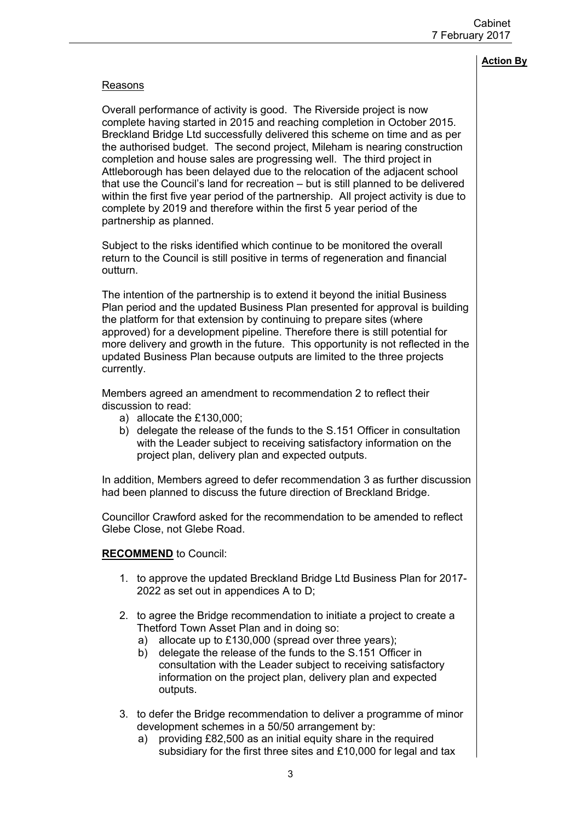## Reasons

Overall performance of activity is good. The Riverside project is now complete having started in 2015 and reaching completion in October 2015. Breckland Bridge Ltd successfully delivered this scheme on time and as per the authorised budget. The second project, Mileham is nearing construction completion and house sales are progressing well. The third project in Attleborough has been delayed due to the relocation of the adjacent school that use the Council's land for recreation – but is still planned to be delivered within the first five year period of the partnership. All project activity is due to complete by 2019 and therefore within the first 5 year period of the partnership as planned.

Subject to the risks identified which continue to be monitored the overall return to the Council is still positive in terms of regeneration and financial outturn.

The intention of the partnership is to extend it beyond the initial Business Plan period and the updated Business Plan presented for approval is building the platform for that extension by continuing to prepare sites (where approved) for a development pipeline. Therefore there is still potential for more delivery and growth in the future. This opportunity is not reflected in the updated Business Plan because outputs are limited to the three projects currently.

Members agreed an amendment to recommendation 2 to reflect their discussion to read:

- a) allocate the £130,000;
- b) delegate the release of the funds to the S.151 Officer in consultation with the Leader subject to receiving satisfactory information on the project plan, delivery plan and expected outputs.

In addition, Members agreed to defer recommendation 3 as further discussion had been planned to discuss the future direction of Breckland Bridge.

Councillor Crawford asked for the recommendation to be amended to reflect Glebe Close, not Glebe Road.

#### **RECOMMEND** to Council:

- 1. to approve the updated Breckland Bridge Ltd Business Plan for 2017- 2022 as set out in appendices A to D;
- 2. to agree the Bridge recommendation to initiate a project to create a Thetford Town Asset Plan and in doing so:
	- a) allocate up to £130,000 (spread over three years);
	- b) delegate the release of the funds to the S.151 Officer in consultation with the Leader subject to receiving satisfactory information on the project plan, delivery plan and expected outputs.
- 3. to defer the Bridge recommendation to deliver a programme of minor development schemes in a 50/50 arrangement by:
	- a) providing £82,500 as an initial equity share in the required subsidiary for the first three sites and £10,000 for legal and tax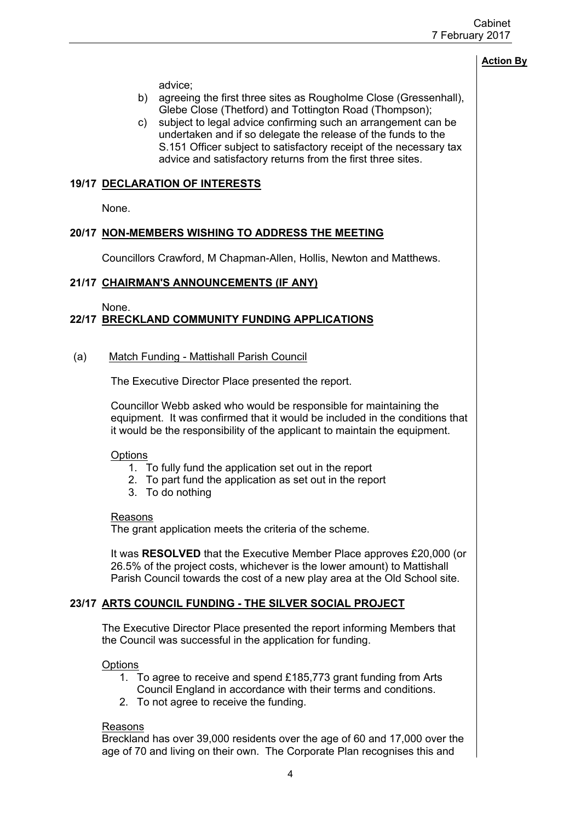advice;

- b) agreeing the first three sites as Rougholme Close (Gressenhall), Glebe Close (Thetford) and Tottington Road (Thompson);
- c) subject to legal advice confirming such an arrangement can be undertaken and if so delegate the release of the funds to the S.151 Officer subject to satisfactory receipt of the necessary tax advice and satisfactory returns from the first three sites.

# **19/17 DECLARATION OF INTERESTS**

None.

# **20/17 NON-MEMBERS WISHING TO ADDRESS THE MEETING**

Councillors Crawford, M Chapman-Allen, Hollis, Newton and Matthews.

### **21/17 CHAIRMAN'S ANNOUNCEMENTS (IF ANY)**

None.

# **22/17 BRECKLAND COMMUNITY FUNDING APPLICATIONS**

### (a) Match Funding - Mattishall Parish Council

The Executive Director Place presented the report.

Councillor Webb asked who would be responsible for maintaining the equipment. It was confirmed that it would be included in the conditions that it would be the responsibility of the applicant to maintain the equipment.

#### **Options**

- 1. To fully fund the application set out in the report
- 2. To part fund the application as set out in the report
- 3. To do nothing

#### Reasons

The grant application meets the criteria of the scheme.

It was **RESOLVED** that the Executive Member Place approves £20,000 (or 26.5% of the project costs, whichever is the lower amount) to Mattishall Parish Council towards the cost of a new play area at the Old School site.

# **23/17 ARTS COUNCIL FUNDING - THE SILVER SOCIAL PROJECT**

The Executive Director Place presented the report informing Members that the Council was successful in the application for funding.

**Options** 

- 1. To agree to receive and spend £185,773 grant funding from Arts Council England in accordance with their terms and conditions.
- 2. To not agree to receive the funding.

#### Reasons

Breckland has over 39,000 residents over the age of 60 and 17,000 over the age of 70 and living on their own. The Corporate Plan recognises this and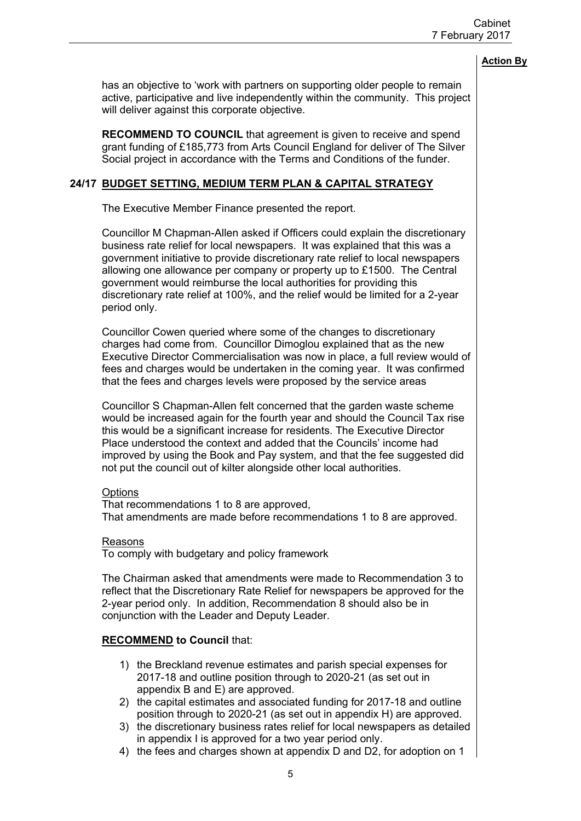has an objective to 'work with partners on supporting older people to remain active, participative and live independently within the community. This project will deliver against this corporate objective.

**RECOMMEND TO COUNCIL** that agreement is given to receive and spend grant funding of £185,773 from Arts Council England for deliver of The Silver Social project in accordance with the Terms and Conditions of the funder.

# **24/17 BUDGET SETTING, MEDIUM TERM PLAN & CAPITAL STRATEGY**

The Executive Member Finance presented the report.

Councillor M Chapman-Allen asked if Officers could explain the discretionary business rate relief for local newspapers. It was explained that this was a government initiative to provide discretionary rate relief to local newspapers allowing one allowance per company or property up to £1500. The Central government would reimburse the local authorities for providing this discretionary rate relief at 100%, and the relief would be limited for a 2-year period only.

Councillor Cowen queried where some of the changes to discretionary charges had come from. Councillor Dimoglou explained that as the new Executive Director Commercialisation was now in place, a full review would of fees and charges would be undertaken in the coming year. It was confirmed that the fees and charges levels were proposed by the service areas

Councillor S Chapman-Allen felt concerned that the garden waste scheme would be increased again for the fourth year and should the Council Tax rise this would be a significant increase for residents. The Executive Director Place understood the context and added that the Councils' income had improved by using the Book and Pay system, and that the fee suggested did not put the council out of kilter alongside other local authorities.

#### **Options**

That recommendations 1 to 8 are approved, That amendments are made before recommendations 1 to 8 are approved.

#### Reasons

To comply with budgetary and policy framework

The Chairman asked that amendments were made to Recommendation 3 to reflect that the Discretionary Rate Relief for newspapers be approved for the 2-year period only. In addition, Recommendation 8 should also be in conjunction with the Leader and Deputy Leader.

# **RECOMMEND to Council** that:

- 1) the Breckland revenue estimates and parish special expenses for 2017-18 and outline position through to 2020-21 (as set out in appendix B and E) are approved.
- 2) the capital estimates and associated funding for 2017-18 and outline position through to 2020-21 (as set out in appendix H) are approved.
- 3) the discretionary business rates relief for local newspapers as detailed in appendix I is approved for a two year period only.
- 4) the fees and charges shown at appendix D and D2, for adoption on 1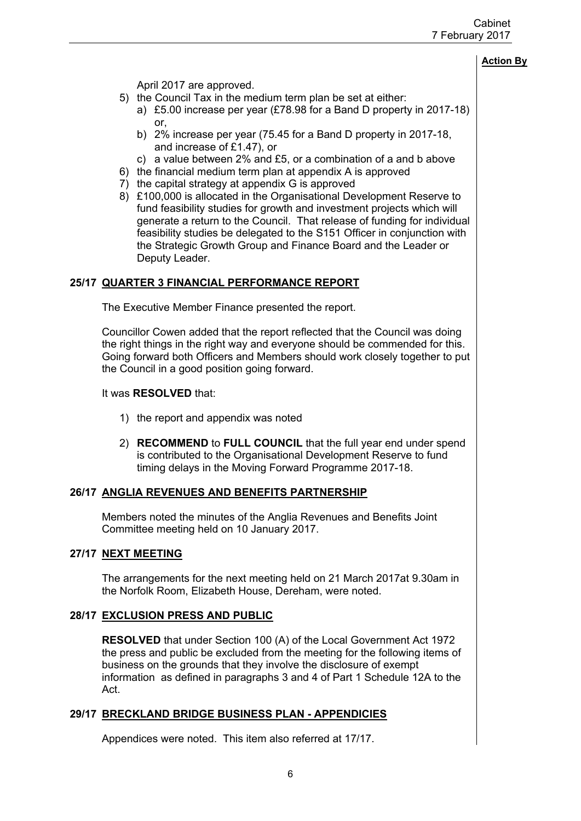April 2017 are approved.

- 5) the Council Tax in the medium term plan be set at either:
	- a) £5.00 increase per year (£78.98 for a Band D property in 2017-18) or,
		- b) 2% increase per year (75.45 for a Band D property in 2017-18, and increase of £1.47), or
	- c) a value between 2% and £5, or a combination of a and b above
- 6) the financial medium term plan at appendix A is approved
- 7) the capital strategy at appendix G is approved
- 8) £100,000 is allocated in the Organisational Development Reserve to fund feasibility studies for growth and investment projects which will generate a return to the Council. That release of funding for individual feasibility studies be delegated to the S151 Officer in conjunction with the Strategic Growth Group and Finance Board and the Leader or Deputy Leader.

# **25/17 QUARTER 3 FINANCIAL PERFORMANCE REPORT**

The Executive Member Finance presented the report.

Councillor Cowen added that the report reflected that the Council was doing the right things in the right way and everyone should be commended for this. Going forward both Officers and Members should work closely together to put the Council in a good position going forward.

#### It was **RESOLVED** that:

- 1) the report and appendix was noted
- 2) **RECOMMEND** to **FULL COUNCIL** that the full year end under spend is contributed to the Organisational Development Reserve to fund timing delays in the Moving Forward Programme 2017-18.

#### **26/17 ANGLIA REVENUES AND BENEFITS PARTNERSHIP**

Members noted the minutes of the Anglia Revenues and Benefits Joint Committee meeting held on 10 January 2017.

#### **27/17 NEXT MEETING**

The arrangements for the next meeting held on 21 March 2017at 9.30am in the Norfolk Room, Elizabeth House, Dereham, were noted.

#### **28/17 EXCLUSION PRESS AND PUBLIC**

**RESOLVED** that under Section 100 (A) of the Local Government Act 1972 the press and public be excluded from the meeting for the following items of business on the grounds that they involve the disclosure of exempt information as defined in paragraphs 3 and 4 of Part 1 Schedule 12A to the Act.

# **29/17 BRECKLAND BRIDGE BUSINESS PLAN - APPENDICIES**

Appendices were noted. This item also referred at 17/17.